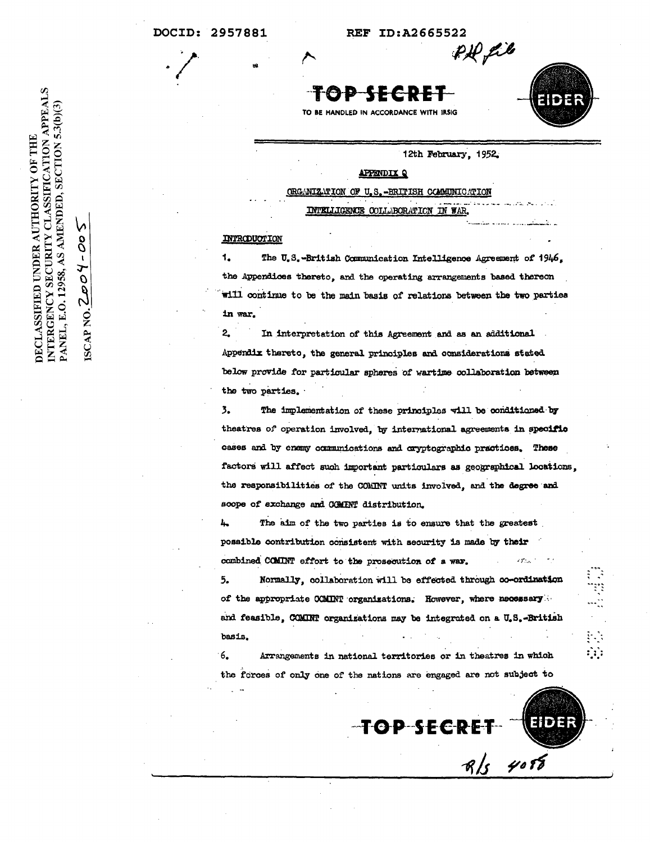REF ID:A2665522

PD fil

ΘĐ SECREI

TO BE HANDLED IN ACCORDANCE WITH IRSIG

12th February, 1952.

### **APPENDIX Q**

ORGANIZATION OF U.S.-BRITISH COMMUNICATION

COLLABORATION IN WAR

### INTRODUCTION

1. The U.S.-British Communication Intelligence Agreement of 1946, the Appendices thereto, and the operating arrangements based thereon will continue to be the main basis of relations between the two parties in war.

 $\overline{2}$ In interpretation of this Agreement and as an additional Appendix thereto, the general principles and considerations stated below provide for particular spheres of wartime collaboration between the two parties.

 $\overline{3}$ . The implementation of these principles will be conditioned by theatres of operation involved, by international agreements in specific cases and by enemy communications and cryptographic practices. These factors will affect such important particulars as geographical locations, the responsibilities of the COMINT units involved, and the degree and scope of exchange and COMINT distribution.

Ŀ. The aim of the two parties is to ensure that the greatest possible contribution consistent with security is made by their combined COMINT effort to the prosecution of a war. 2000-1

Normally, collaboration will be effected through co-ordination 5. of the appropriate COMINT organizations. However, where necessary and feasible. COMINT organizations may be integrated on a U.S.-British basis.

6. Arrangements in national territories or in theatres in which the forces of only one of the nations are engaged are not subject to

TOP SECRE  $R/s$  408

 $\mathbf{a}$ 

Eider

b 8  $\mathbf t$ ISCAP NO. ZOOY PANEL, E.O. 12958,

INTERGENCY SECURITY CLASSIFICATION APPEALS

DECLASSIFIED UNDER AUTHORITY OF THE

AS AMENDED, SECTION 5.3(b)(3)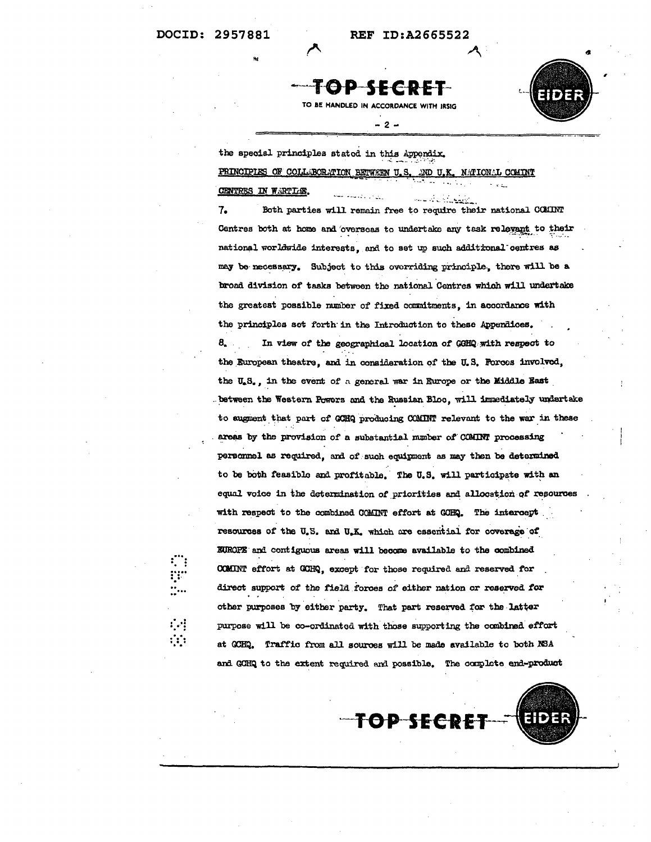ंग

ंं



- 2 -



EIDEF

the special principles stated in this Appendix.

PRINCIPIES OF COLLABORATION BETWEEN U.S. AND U.K. MATIONAL COMINT n e cu

#### CENTRES IN WARTLE.

الأ<u>موج أول</u> الأمساء Both parties will remain free to require their national COMINT 7. Centres both at home and overseas to undertake any task relevant to their national worldwide interests, and to set up such additional centres as may be necessary. Subject to this overriding principle, there will be a broad division of tasks between the national Centres which will undertake the greatest possible number of fixed commitments, in accordance with the principles set forth in the Introduction to these Appendices. 8. In view of the geographical location of GGHQ with respect to the European theatre, and in consideration of the U.S. Forces involved, the U.S., in the event of a general war in Europe or the Middle East between the Western Powers and the Russian Bloc, will immediately undertake to augment that part of GCHQ producing COMINT relevant to the war in these areas by the provision of a substantial mumber of COMINT processing personnel as required, and of such equipment as may then be determined to be both feasible and profitable. The U.S. will participate with an equal voice in the determination of priorities and allocation of resources with respect to the combined COMINT effort at GOHQ. The intercept . resources of the U.S. and U.K. which are essential for coverage of EUROPE and contiguous areas will become available to the combined COMINT effort at GCHQ, except for those required and reserved for direct support of the field forces of either nation or reserved for other purposes by either party. That part reserved for the latter purpose will be co-ordinated with those supporting the combined effort at GCHQ. Traffic from all sources will be made available to both NSA and GCHQ to the extent required and possible. The complete end-product

**TOP SECRE**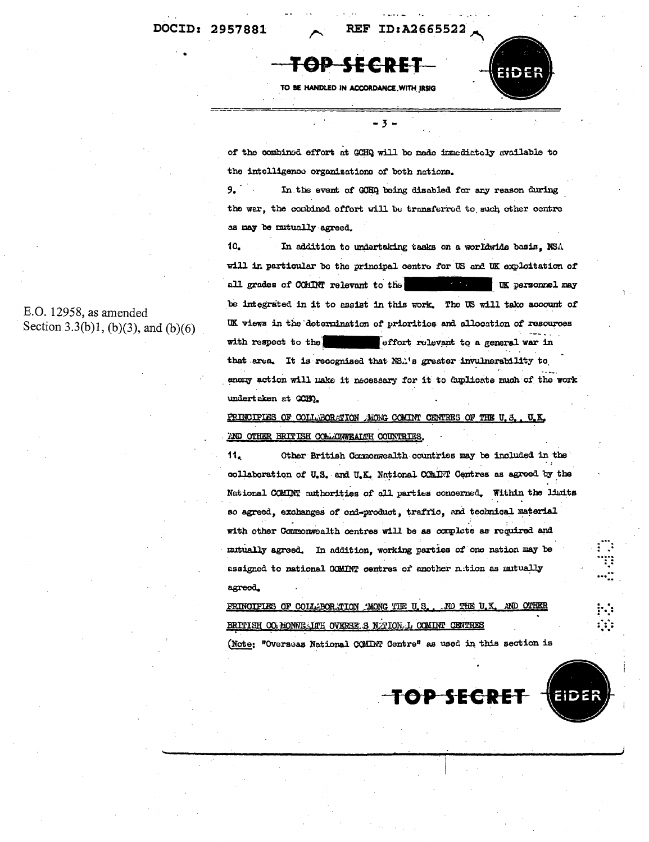#### **REF** ID:A2665522



TO BE HANDLED IN ACCORDANCE WITH IRSIG

of the combined effort at GCHQ will be made inmedictely available to the intelligence organizations of both nations.

 $9.$ In the event of GCHQ being disabled for any reason during the war, the combined effort will be transferred to such other centre as may be mutually agreed.

10. In addition to undertaking tasks on a worldwide basis. NSA will in particular be the principal centre for US and UK exploitation of all grades of COMINT relevant to the **UK** personnel may be integrated in it to essist in this work. The US will take account of UK views in the determination of priorities and allocation of resources with respect to the effort relevant to a general war in that area. It is recognised that NS.'s greater invulnerability to enemy action will make it necessary for it to duplicate much of the work undertaken at GCHO.

PRINCIPLES OF COLLEGRATION ALONG COMINT CENTRES OF THE U.S. U.K. AND OTHER BRITISH COMMONWEATTH COUNTRIES.

11. Other British Commonwealth countries may be included in the collaboration of U.S. and U.K. National COMINT Centres as agreed by the National COMINT authorities of all parties concerned. Within the limits so agreed, exchanges of ond-product, traffic, and technical material with other Commonwealth centres will be as complete as required and mutually agreed. In addition, working parties of one nation may be assigned to national COMINT centres of another nation as mutually agreed.

PRINCIPLES OF COLLABOR TION AMONG THE U.S.. .ND THE U.K 5ND BRITISH OG MONWE ITH OVERSE S NITION L COMINT CENTRES

(Note: "Overseas National COMINT Centre" as used in this section is

TOP SECRE

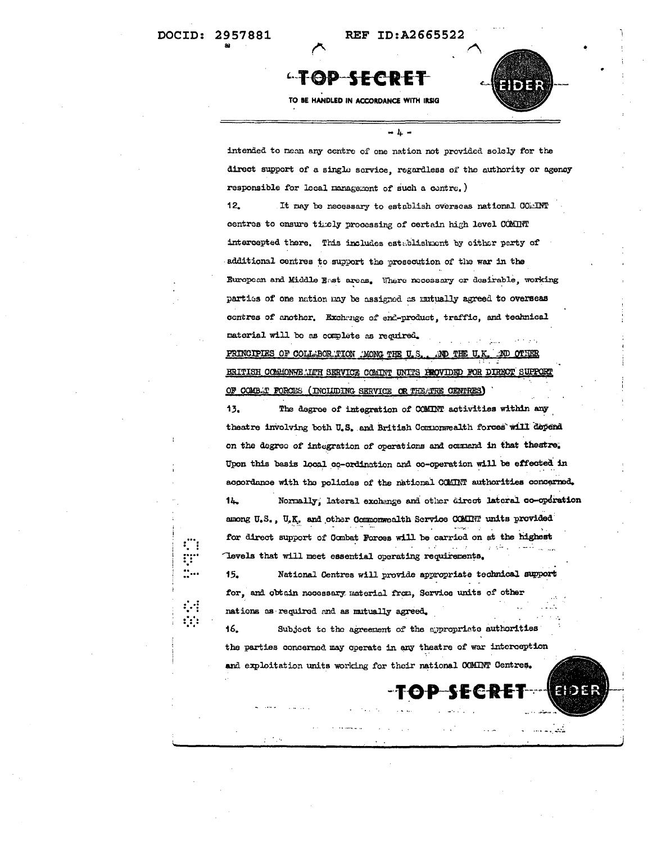f.<br>Q

# **"TOP-SECRET**

TO BE HANDLED IN ACCORDANCE WITH IRSIG

21 D 27

intended to nean any centre of one nation not provided solely for the direct support of a single service, regardless of the authority or agency responsible for local management of such a contre.)

 $-<sub>h</sub>$ 

 $12.$ It may be necessary to establish overseas national COMINT centres to ensure timely processing of certain high level COMINT intercepted there. This includes establishment by either party of additional centres to support the prosecution of the war in the European and Middle East areas. Where necessary or desirable, working parties of one nation may be assigned as mutually agreed to overseas centres of another. Exchange of end-product, traffic, and technical material will be as complete as required.

PRINCIPLES OF COLLABORATION AMONG THE U.S. .ND THE U.I BRITISH COMMONHE LIFE SERVICE COMINT UNITS PROVIDED FOR DIRECT SUPPOR OF COMBAT FORCES (INCLUDING SERVICE OR THEATRE CENTRES)

13. The degree of integration of COMINT activities within any theatre involving both U.S. and British Commormealth forces will depend on the degree of integration of operations and commend in that theatre. Upon this basis local co-ordination and co-operation will be effected in accordance with the policies of the national COMINT authorities concerned.  $14$ Normally, lateral exchange and other direct lateral co-operation among U.S., U.K. and other Commonwealth Service COMINT units provided for direct support of Combat Forces will be carried on at the highest Tevels that will meet essential operating requirements.

15. National Centres will provide appropriate technical support for, and obtain necessary material from. Service units of other nations as required and as mutually agreed.

Subject to the agreement of the appropriate authorities 16. the parties concerned may operate in any theatre of war interception and exploitation units working for their national COMINT Centres.

-төр

E (~

 $\mathbb{R}^2$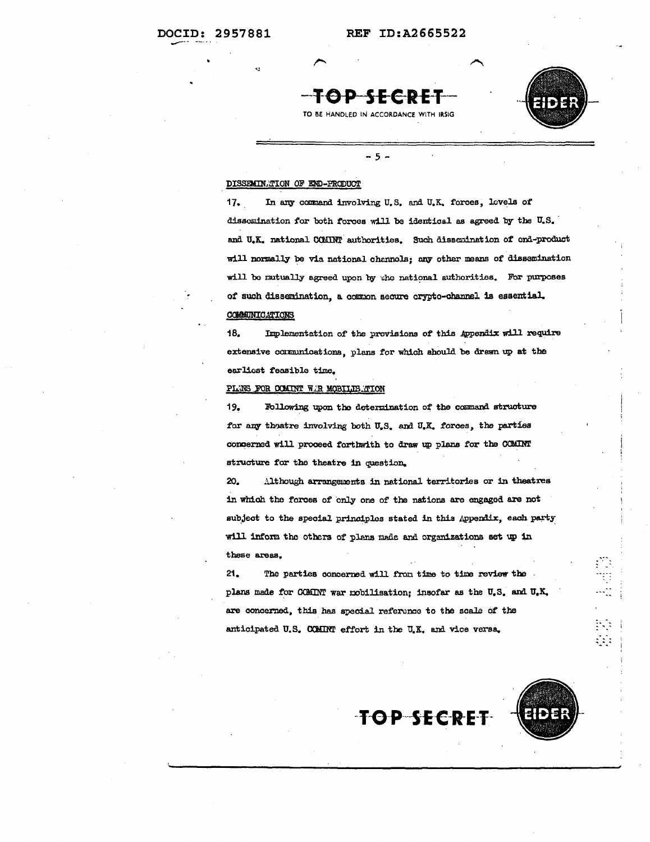

TO BE HANDLED IN ACCORDANCE WITH IRSIG

 $-5 -$ 



### DISSEMINATION OF END-PRODUCT

In any command involving U.S. and U.K. forces, levels of  $17.$ dissemination for both forces will be identical as agreed by the U.S. and U.K. national COMINT authorities. Such dissemination of ond-product will normally be via national channols; any other means of dissemination will be mutually agreed upon by the national authorities. For purposes of such dissemination, a common secure crypto-channel is essential. COMMUNICATIONS

18. Implementation of the provisions of this Appendix will require extensive communications, plans for which should be drawn up at the earlicst feasible time.

### PLANS FOR COMINT W.R MOBILIS TION

19. Following upon the determination of the command structure for any theatre involving both U.S. and U.K. forces, the parties concerned will proceed forthwith to draw up plans for the COMINT structure for the theatre in question.

20. Although arrangements in national territories or in theatres in which the forces of only one of the nations are engaged are not subject to the special principles stated in this Appendix, each party will inform the others of plans made and organizations set up in these areas.

 $21.$ The parties concerned will from time to time review the plans made for COMINT war mobilisation; insofar as the U.S. and U.K. are concerned, this has special reference to the scale of the anticipated U.S. COMINT effort in the U.K. and vice versa.

**TOP SECRET** 

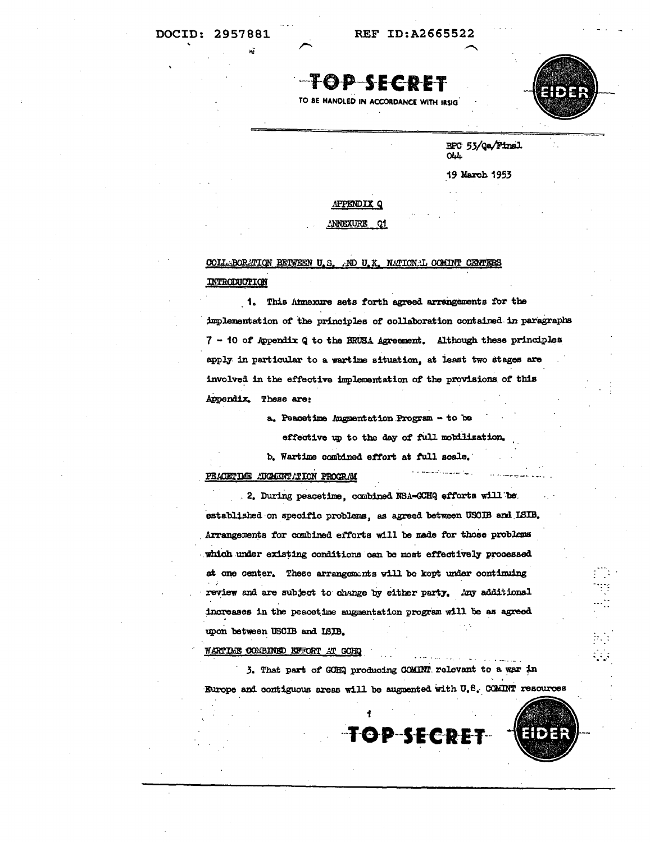**REF ID:A2665522** 

TOP SECDET

TO BE HANDLED IN ACCORDANCE WITH IRSIG



BPC 53/Qa/Final **OLL** 

19 March 1953

### APPENDIX Q

#### **ANNEXURE** <u>\_ Q1</u>

### COLLABORATION RETWEEN U.S. AND U.K. NATIONAL COMINT CENTERS INTRODUCTION

1. This Annexure sets forth agreed arrangements for the implementation of the principles of collaboration contained in paragraphs 7 - 10 of Appendix Q to the BRUSA Agreement. Although these principles apply in particular to a wartime situation, at least two stages are involved in the effective implementation of the provisions of this Appendix. These are:

a. Peacetime Augmentation Program - to be

effective up to the day of full mobilization.

b. Wartime combined effort at full scale.

### PEACETIME AUGUSTICITION PROGRAM

2. During peacetime, combined NSA-GOHQ efforts will be established on specific problems, as agreed between USCIB and ISIB. Arrangements for combined efforts will be made for those problems which under existing conditions can be most effectively processed at one center. These arrangements will be kept under continuing review and are subject to change by either party. Any additional increases in the peacetime augmentation program will be as agreed upon between USCIB and ISIB.

### WARTIME COMBINED EFFORT AT GOHQ

3. That part of GCHQ producing COMINT relevant to a war in Europe and contiguous areas will be augmented with U.S. COMINT resources

TOP-SECRET

2192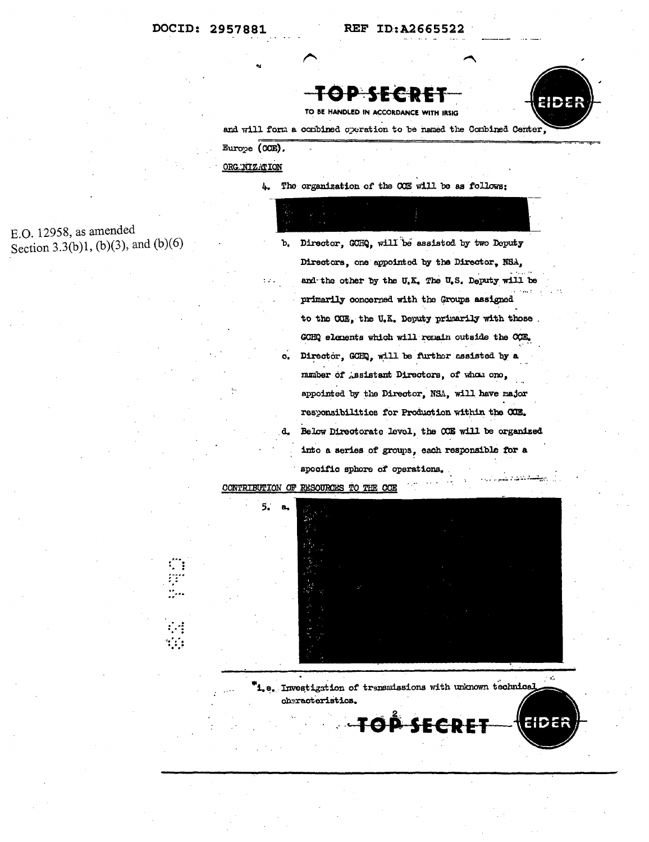



TO BE HANDLED IN ACCORDANCE WITH IRSIG

and will form a combined operation to be named the Combined Center.

Europe (CCE).

ORG. NIZATION

The organization of the CCE will be as follows: 4.

E.O. 12958, as amended Section 3.3(b)1, (b)(3), and (b)(6)

Director, GCHQ, will be assisted by two Deputy ъ. Directors, one appointed by the Director, NSA, and the other by the U.K. The U.S. Deputy will be primarily concerned with the Groups assigned to the COE, the U.K. Deputy primarily with those. GCHQ elements which will remain outside the CCE. Director, GCHQ, will be further assisted by a  $\mathbf{o}_{\bullet}$ munber of Assistant Directors, of whom one, appointed by the Director, NSA, will have major responsibilities for Production within the COE. Below Directorate level, the CCE will be organized into a series of groups, each responsible for a specific sphore of operations.

RESOURCES TO THE CCE CONTRIBUTION OF



 $\gamma$  is <sup>T</sup>i.e. Investigation of transmissions with unknown technical cheracteristics.

OP SECDE

HDEF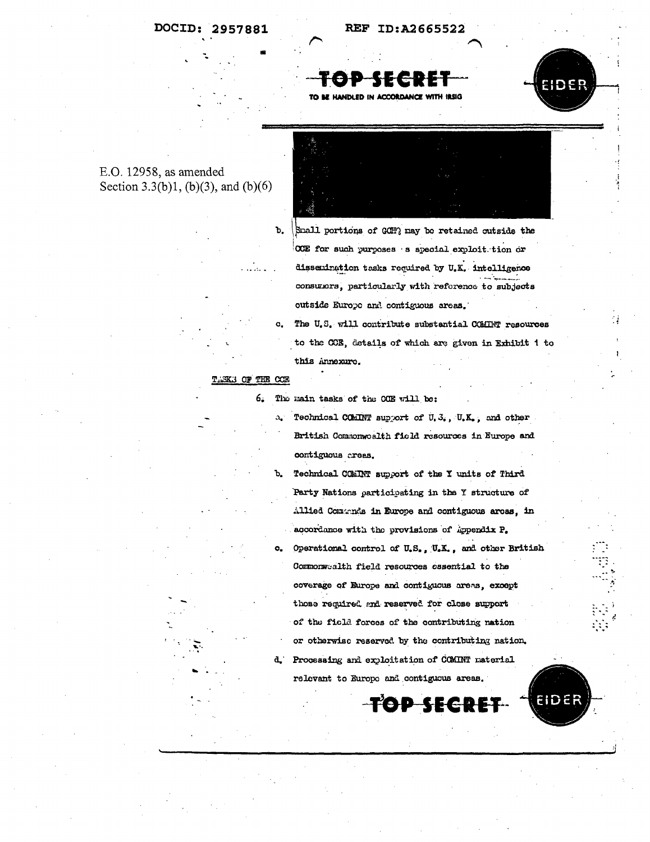



### $E.O. 12958$ , as amended Section 3.3(b)1, (b)(3), and (b)(6)



Small portions of GCH? may be retained outside the OCE for such purposes s special exploit tion or dissemination tasks required by U.K. intelligence consumers, particularly with reference to subjects outside Europe and contiguous areas.

The U.S. will contribute substantial COMINT resources to the CCE, details of which are given in Exhibit 1 to this Annexure.

### TASKS OF THE COE

ъ.

 $\alpha$ .

6. The main tasks of the COE will be:

> a. Technical COMINT support of U.S., U.K., and other British Commonwealth field resources in Europe and contiguous crees.

Technical COMINT support of the Y units of Third Ъ. Party Nations participating in the Y structure of Allied Comands in Europe and contiguous areas. in accordance with the provisions of Appendix P.

Operational control of U.S., U.K., and other British o. Commonwealth field resources essential to the coverage of Europe and contiguous areas, except those required and reserved for close support of the field forces of the contributing nation or otherwise reserved by the contributing nation.

d. Processing and exploitation of COMINT material relevant to Europe and contiguous areas.

SECRE

ID EF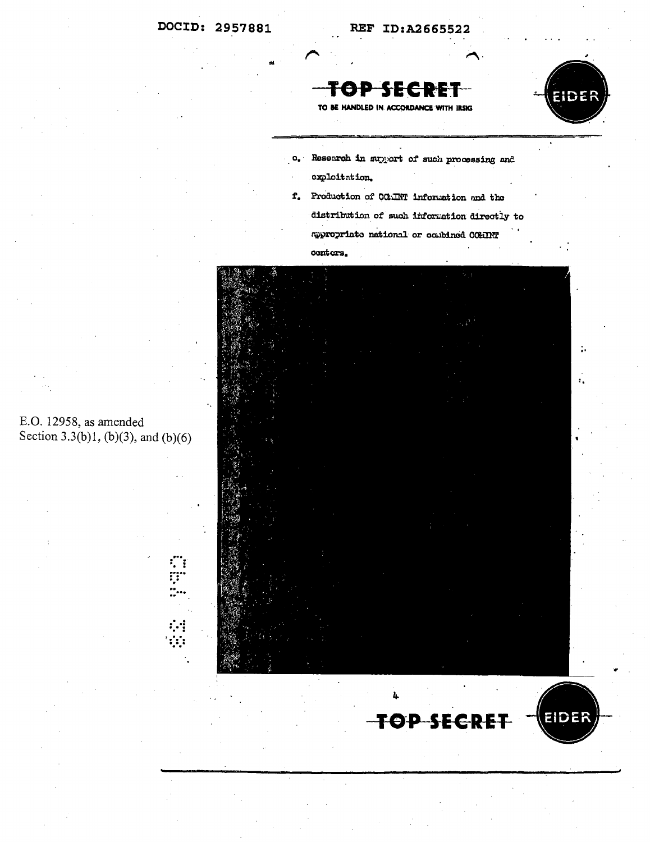#### ID:A2665522 **REF**

**SECDE** ТӨР



÷.

TO BE HANDLED IN ACCORDANCE WITH IRSIG

- Research in support of such processing and  $\alpha_{\bullet}$  : exploitation.
- f. Production of COMINT information and the distribution of such information directly to appropriate national or combined COMINT

# conters.



E.O. 12958, as amended Section 3.3(b)1, (b)(3), and (b)(6)

C)

 $\ddot{\cdot}$  $\mathbf{r}$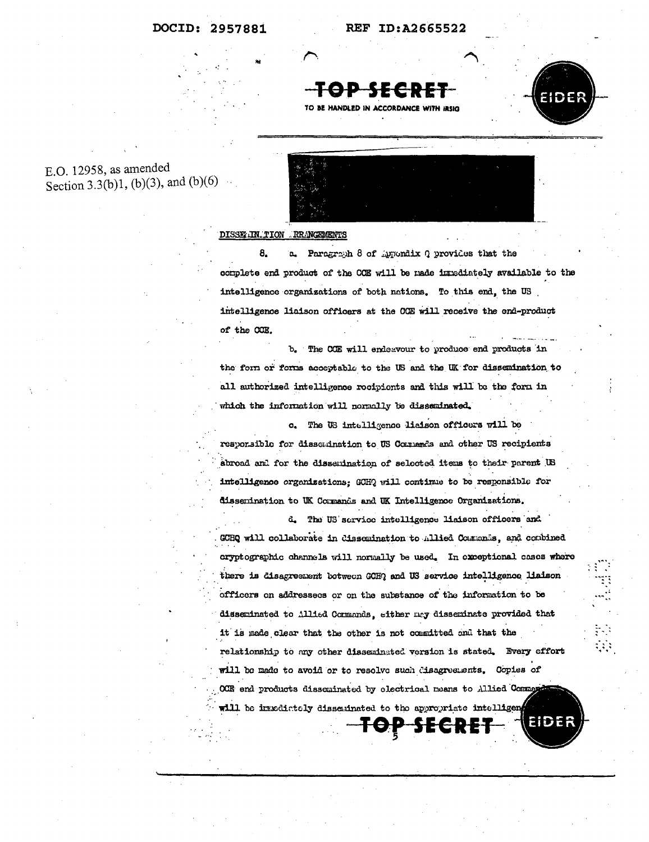REF ID:A2665522

FO-D 55 C D E TO BE HANDLED IN ACCORDANCE WITH IRSIG



- 33

### E.O. 12958, as amended Section 3.3(b)1, (b)(3), and (b)(6)



### DISSECIN TION RRANGEMENTS

8. a. Paragraph 8 of Appondix Q provides that the complete end product of the COE will be made inrediately available to the intelligence organizations of both nations. To this end, the US intelligence liaison officers at the OCE will receive the end-product of the CCE.

The COE will endeavour to produce end products in ъ. the form or forms acceptable to the US and the UK for dissemination to all authorized intelligence rocipionts and this will be the form in which the information will normally be disseminated.

c. The US intelligence lisison officers will be responsible for dissomination to US Comments and other US recipients abroad and for the dissemination of selected items to their parent US intelligence organizations: GCHQ will continue to be responsible for dissemination to UK Cormands and UK Intelligence Organizations.

d. The US service intelligence liaison officers and GCHQ will collaborate in dissemination to Allied Commands, and combined cryptographic channels will normally be used. In exceptional cases where there is disagreement botween GCHQ and US service intelligence liaison officers on addressees or on the substance of the information to be disseminated to Allied Commands, either may disseminate provided that it is made clear that the other is not committed and that the relationship to any other disseminated version is stated. Every effort will be made to avoid or to resolve such disagreements. Copies of OCE end products dissominated by electrical means to Allied Command will be inxedictely disseminated to the appropriate intelligen EIDEF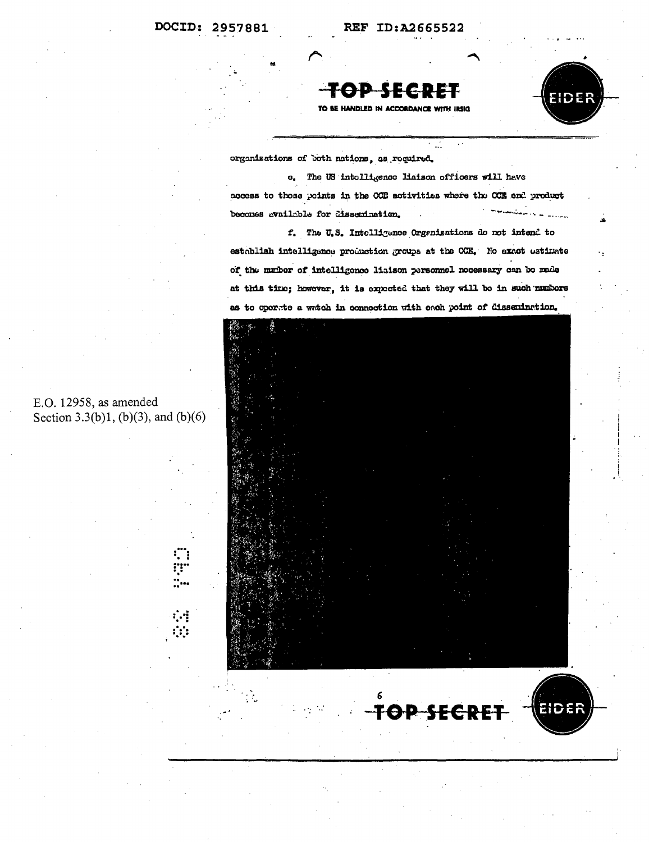



EIDER

TO BE HANDLED IN ACCORDANCE WITH IRSIG

organizations of both nations, as required.

c. The US intolligence liaison officers will have access to those points in the COE activities where the COE end product بمساومات المداني بالمستحدثين becomes evailable for dissemination.

f. The U.S. Intelligence Organizations do not intend to establish intelligence production groups at the COE. No exact estimate of the number of intelligence liaison personnel necessary can be made at this time; however, it is expected that they will be in such numbers as to operate a watch in connection with each point of dissemination.



TOP SECRET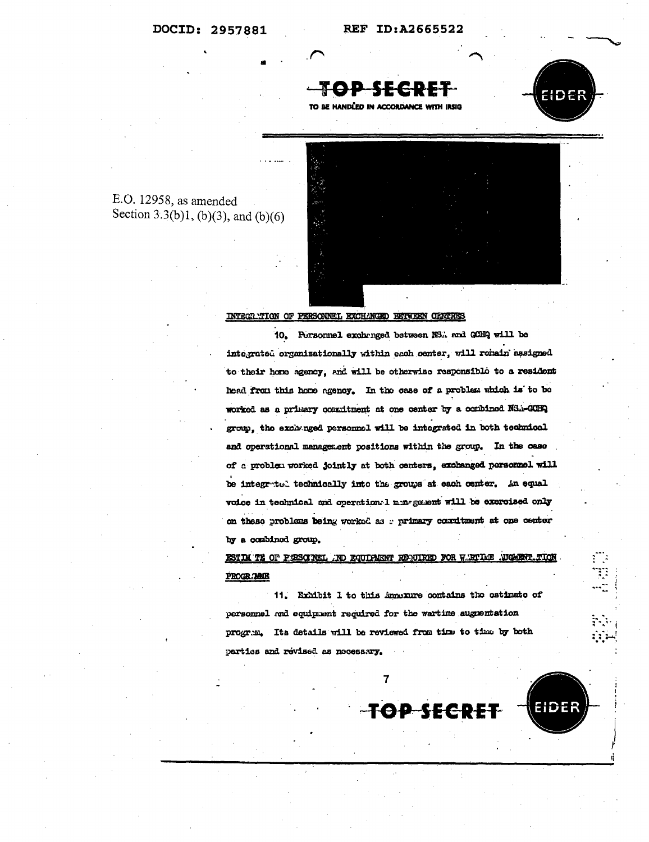



E.O. 12958, as amended Section 3.3(b)1, (b)(3), and (b)(6)

### INTEGRATION OF PERSONNEL EXCHANGED BETWEEN CENTRES

10. Personnel exchanged between NS. and GCHQ will be integrated organizationally within each center, will remain assigned to their home agency, and will be otherwise responsible to a resident head from this home agency. In the case of a problem which is to be worked as a primary consitment at one center by a combined NSA-GOBQ group, the exchanged personnel will be integrated in both technical and operational management positions within the group. In the case of a problem worked jointly at both centers, exchanged personnel will be integrated technically into the groups at each center. An equal voice in technical and operation. I margement will be exercised only on these problems being worked as a primary countment at one center by a combined group.

ESTIM TE OF PESCOREL .ND EQUIPMENT REQUIRED FOR WIRTLE , UGAENT .TION PROGRAMME

11. Exhibit 1 to this innexure contains the estimate of personnel and equipment required for the wartime augusmation program. Its details will be reviewed from time to time by both parties and revised as necessary.

 $\overline{7}$ 

**TOP SECRET** hder

EN ESPERADORES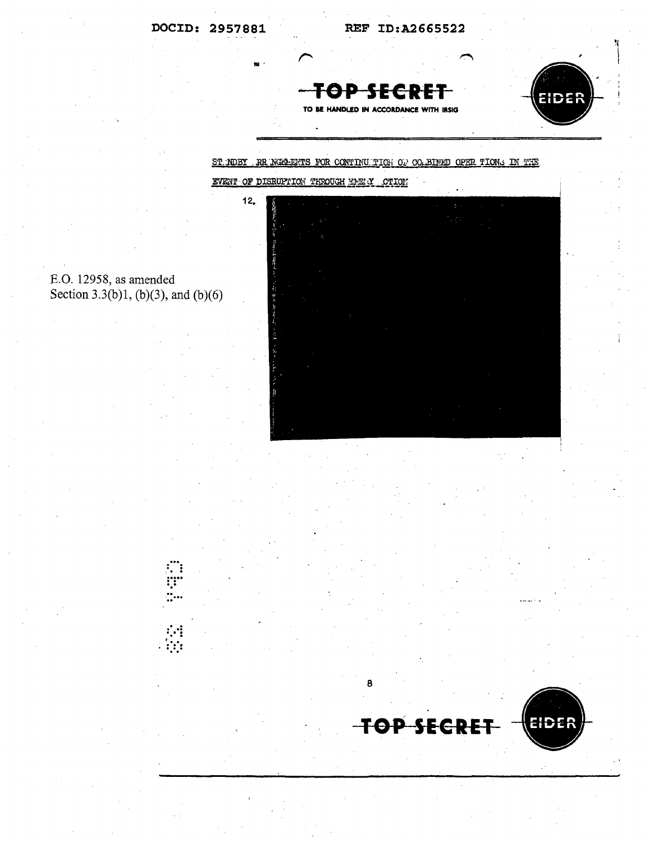$12.$ 

REF ID:A2665522

TOP SECRE TO BE HANDLED IN ACCORDANCE WITH IRSIG



## ST. NOBY RR NGG-ENTS FOR CONTINUITION OF CO. BINED OPER TIONS IN THE EVENT OF DISRUPTION THROUGH ENERGY CTION





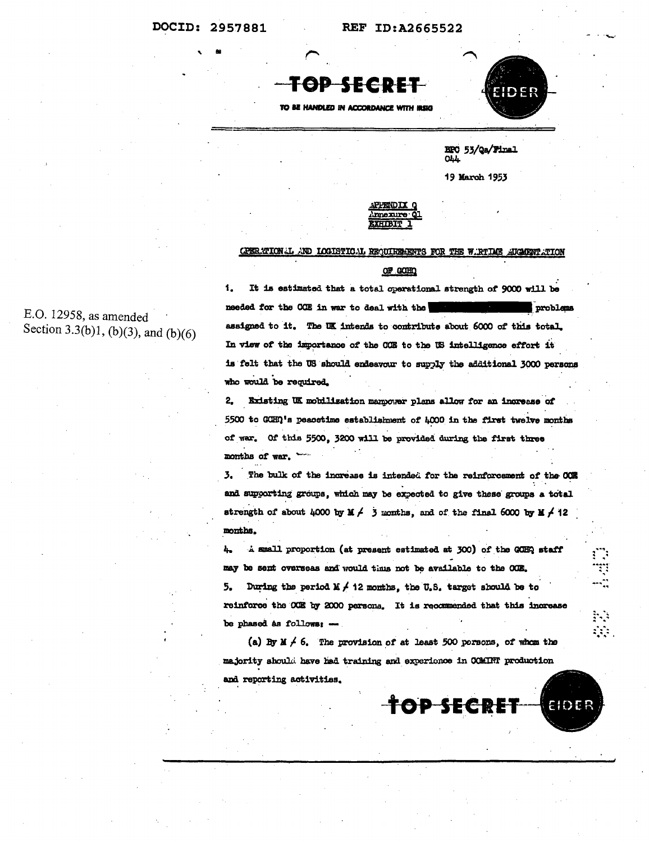**REF ID:A2665522** 

TOP SECRET

TO BE HANDLED IN ACCORDANCE WITH IRSIG



ES ESCRIPTO

R)<br>S

EIDER

HPO 53/Qa/Final  $Q<sub>LL</sub>$ 

19 March 1953

mexure **EXHIBIT** 

### CPERATION I AND LOGISTICAL REQUIREMENTS FOR THE WIRTLE AUGHRY TION

### OF GOHD

1. It is estimated that a total operational strength of 9000 will be needed for the COE in war to deal with the problems assigned to it. The UK intends to contribute about 6000 of this total. In view of the importance of the OCE to the US intelligence effort it is felt that the US should endeavour to supply the additional 3000 persons who would be required.

2. Existing UK mobilisation manpower plans allow for an increase of 5500 to GCHQ's peacetime establishment of 4000 in the first twelve months of war. Of this 5500, 3200 will be provided during the first three months of war. ~

3. The bulk of the increase is intended for the reinforcement of the OCE and supporting groups, which may be expected to give these groups a total strength of about 4000 by  $\mathbb{X} \neq 3$  months, and of the final 6000 by  $\mathbb{X} \neq 12$ months.

A small proportion (at present estimated at 300) of the GOHQ staff Ъ., may be sent overseas and would thus not be available to the COE.

During the period  $X \neq 12$  months, the U.S. target should be to 5. reinforce the CCE by 2000 persons. It is recommended that this increase be phased as follows: -

(a) By  $\mathbb{X} \neq 6$ . The provision of at least 500 persons, of whom the majority should have had training and experience in CCMINT production and reporting activities.

TOP SECRET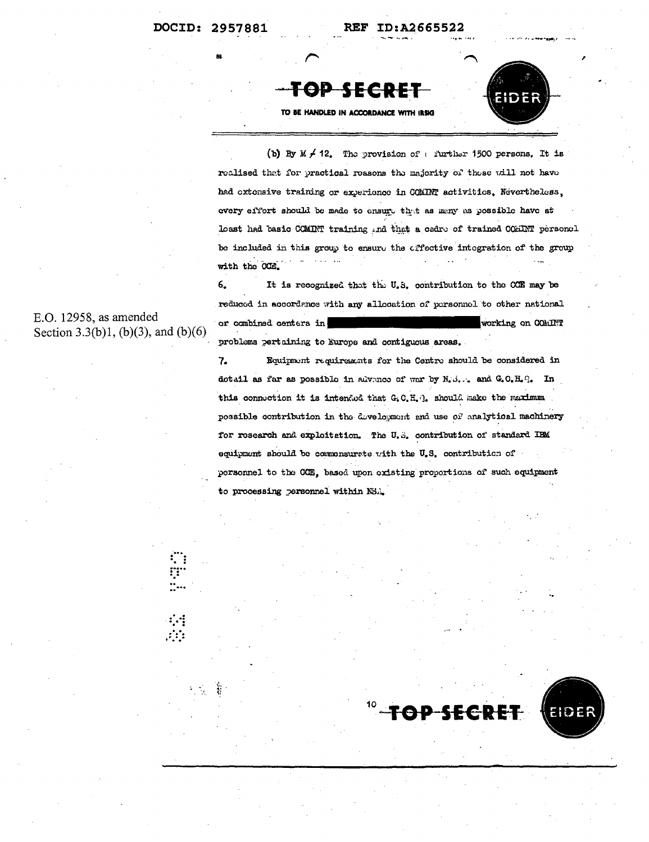REF ID:A2665522



**TOP SECRET** 

TO BE HANDLED IN ACCORDANCE WITH IRSIG

(b) By M  $\neq$  12. The provision of a further 1500 persons. It is realised that for practical reasons the majority of these will not have had extensive training or experience in COMINT activities. Nevertheless, every effort should be made to ensure that as many as possible have at loast had basic COMINT training and that a cadre of trained COMINT personal be included in this group to ensure the effective integration of the group with the CCE.

It is recognized that the U.S. contribution to the COE may be 6. reduced in accordance with any allocation of personnel to other national or combined centers in working on COMINT problems pertaining to Europe and contiguous areas.

E.O. 12958, as amended Section 3.3(b)1, (b)(3), and (b)(6)

> Equipment requirements for the Centro should be considered in 7. dotail as far as possible in advance of war by N.S. . and G.O.H.G. In this connection it is intended that G.C.H. ]. should make the maximum possible contribution in the development and use of analytical machinery for research and exploitation. The U.S. contribution of standard IBM equipment should be commonsurete with the U.S. contribution of personnel to the CCE, based upon existing proportions of such equipment to processing personnel within NSA.

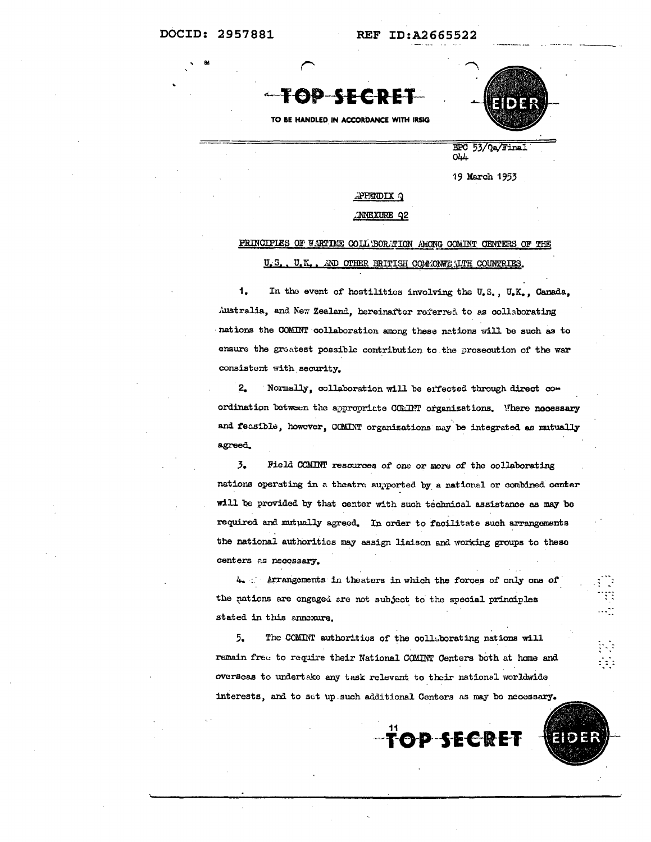**REF ID:A2665522** 



TO BE HANDLED IN ACCORDANCE WITH IRSIG



BPC 53/Qa/Final  $O44$ 

19 March 1953

### **PPENDIX Q**

**NNEXURE Q2** 

#### PRINCIPLES OF WARTIME COLL BORATION AMONG COMINT CENTERS OF THE AND OTHER ERITISH COMMONWEALTH COUNTRIES. U.S. U.K.

1. In the event of hostilities involving the U.S., U.K., Canada, Australia, and New Zealand, hereinafter referred to as collaborating nations the COMINT collaboration among these nations will be such as to ensure the greatest possible contribution to the prosecution of the war consistent with security.

 $2.$ Normally, collaboration will be effected through direct coordination between the appropriate COMINT organizations. Where necessary and feasible, however, CCMINT organizations may be integrated as mutually agreed.

 $3.5$ Field COMINT resources of one or more of the collaborating nations operating in a theatre supported by a national or combined center will be provided by that center with such technical assistance as may be required and mutually agreed. In order to facilitate such arrangements the national authorities may assign liaison and working groups to these centers as necessary.

4. Arrangements in theaters in which the forces of only one of the nations are engaged are not subject to the special principles stated in this annexure.

 $5.$ The COMINT authorities of the collaborating nations will remain free to require their National COMINT Centers both at home and overseas to undertake any task relevant to their national worldwide interests, and to set up such additional Centers as may be necessary.

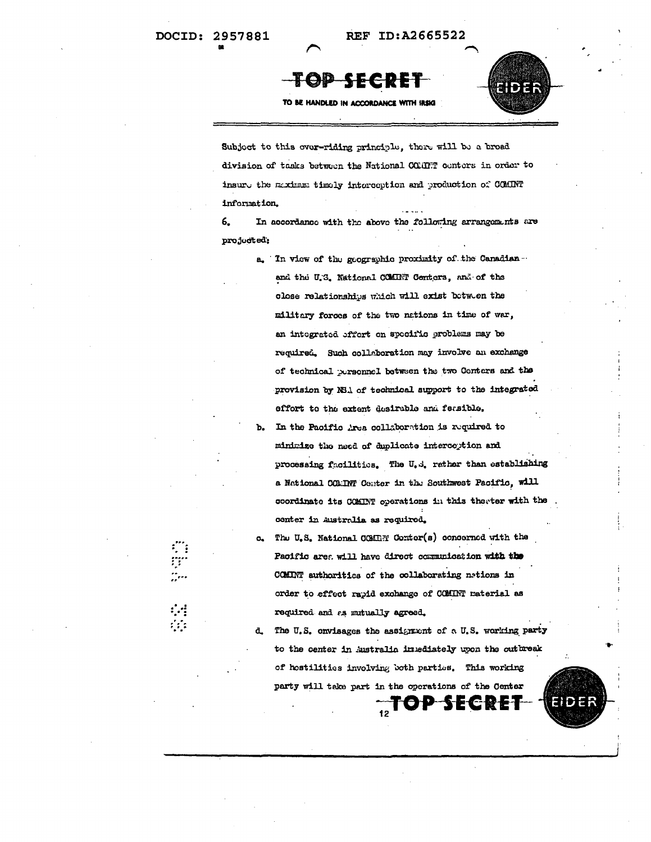# **TOP SECR**



TO BE HANDLED IN ACCORDANCE WITH IRSIG

Subject to this over-riding principle, there will be a broad division of tasks between the National COMMT centers in order to insure the maximum timely interception and production of COMINT information.

6. In accordance with the above the following arrangements are projucted;

- a. In view of the geographic proximity of the Canadian. and the U.S. National COMINT Centers, and of the close relationships which will exist between the military forces of the two nations in time of war, an integrated effort on specific problems may be required. Such collaboration may involve an exchange of technical personnel between the two Conters and the provision by NBA of technical support to the integrated effort to the extent desirable and feasible.
- In the Pacific Area collaboration is required to minimize the need of duplicate interception and processing facilities. The U.S. rather than establishing a National COMINT Center in the Southwest Pacific, will coordinate its COMINT operations in this therter with the conter in Australia as required.
- The U.S. National COMIN Conter(s) concerned with the Pacific area will have direct communication with the COMINT authorities of the collaborating nations in order to effect rapid exchange of COMINT material as required and as mutually agreed.

The U.S. onvisages the assignment of a U.S. working party d. to the center in Australia intediately upon the outbreak of hostilities involving both parties. This working party will take part in the operations of the Center  $TOP$ 

-2 E C B E J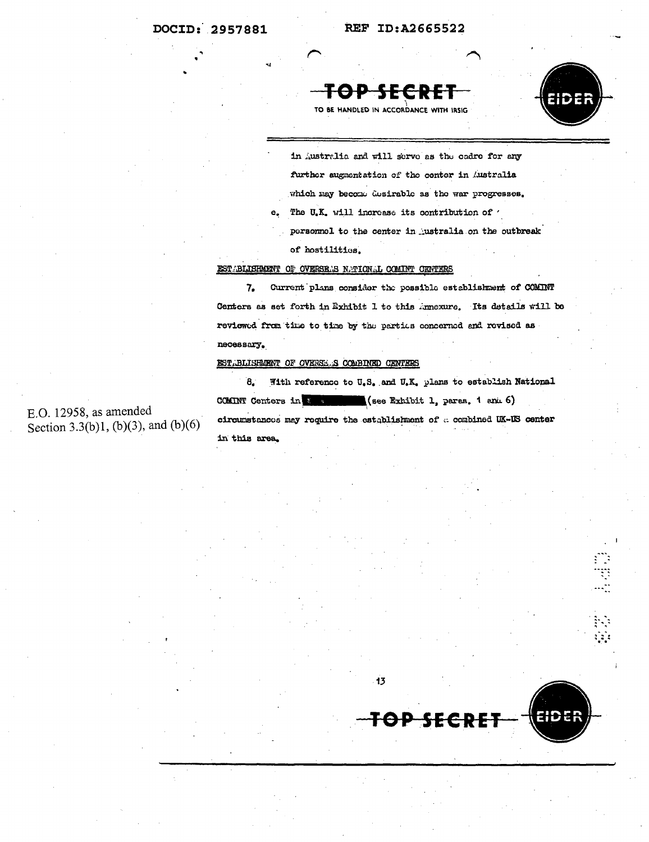



TO BE HANDLED IN ACCORDANCE WITH IRSIG

in Australia and will serve as the cadre for any further augmentation of the center in Australia which may become desirable as the war progresses. The U.K. will increase its contribution of  $\prime$ personnel to the center in ustralia on the outbreak of hostilities.

### EST BLISHMENT OF OVERSELS N.TICN.L COMINT CENTERS

Current plans consider the possible establishment of COMINT 7. Centers as set forth in Exhibit 1 to this innexure. Its details will be reviewed from time to time by the partics concerned and revised as necessary.

### EST. BLISHMENT OF OVERSE. S COMBINED CENTERS

 $\mathbf{e}$ .

 $\mathbf{8}$ With reference to U.S. and U.K. plans to establish National COMINT Centers in & Communicated Statibit 1, paras. 1 and 6) circumstances may require the establishment of a combined UK-US center in this area.

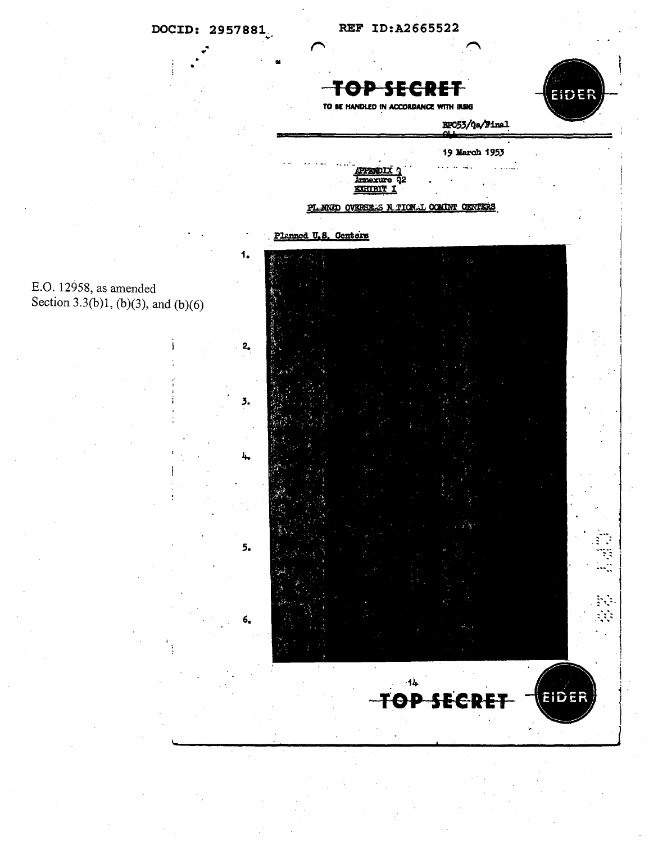



r,

EIDER

TO BE HANDLED IN ACCORDANCE WITH IRSIG

EF053/Qa/Final

19 March 1953  $\mathcal{L}$ 

TOP SECRET

225.DI Annexure **KXHTBIT** 

PL. NNED OVERSE... **COMINT CRIVEERS** N TTON T.

Planned U.S. Centers

 $2<sub>o</sub>$ 

 $\overline{3}$ .

5.

6,